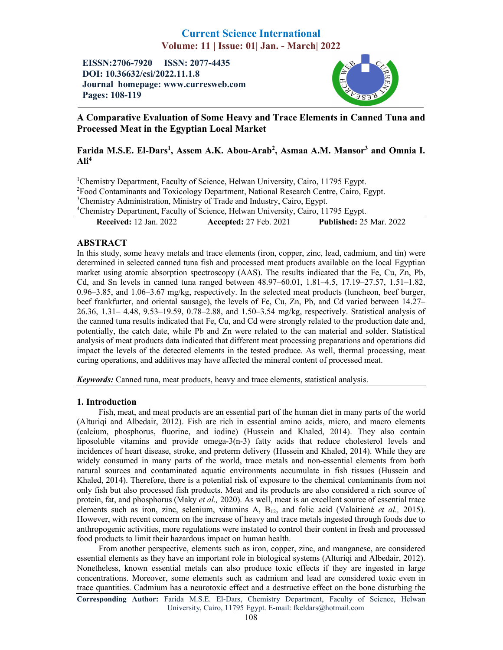# Current Science International Volume: 11 | Issue: 01| Jan. - March| 2022

EISSN:2706-7920 ISSN: 2077-4435 DOI: 10.36632/csi/2022.11.1.8 Journal homepage: www.curresweb.com Pages: 108-119



## A Comparative Evaluation of Some Heavy and Trace Elements in Canned Tuna and Processed Meat in the Egyptian Local Market

## Farida M.S.E. El-Dars<sup>1</sup>, Assem A.K. Abou-Arab<sup>2</sup>, Asmaa A.M. Mansor<sup>3</sup> and Omnia I.  $\text{Ali}^4$

<sup>1</sup>Chemistry Department, Faculty of Science, Helwan University, Cairo, 11795 Egypt. <sup>2</sup> Food Contaminants and Toxicology Department, National Research Centre, Cairo, Egypt. <sup>3</sup>Chemistry Administration, Ministry of Trade and Industry, Cairo, Egypt. 4 Chemistry Department, Faculty of Science, Helwan University, Cairo, 11795 Egypt.

Received: 12 Jan. 2022 Accepted: 27 Feb. 2021 Published: 25 Mar. 2022

## ABSTRACT

In this study, some heavy metals and trace elements (iron, copper, zinc, lead, cadmium, and tin) were determined in selected canned tuna fish and processed meat products available on the local Egyptian market using atomic absorption spectroscopy (AAS). The results indicated that the Fe, Cu, Zn, Pb, Cd, and Sn levels in canned tuna ranged between 48.97–60.01, 1.81–4.5, 17.19–27.57, 1.51–1.82,  $0.96-3.85$ , and  $1.06-3.67$  mg/kg, respectively. In the selected meat products (luncheon, beef burger, beef frankfurter, and oriental sausage), the levels of Fe, Cu, Zn, Pb, and Cd varied between 14.27– 26.36, 1.31– 4.48, 9.53–19.59, 0.78–2.88, and 1.50–3.54 mg/kg, respectively. Statistical analysis of the canned tuna results indicated that Fe, Cu, and Cd were strongly related to the production date and, potentially, the catch date, while Pb and Zn were related to the can material and solder. Statistical analysis of meat products data indicated that different meat processing preparations and operations did impact the levels of the detected elements in the tested produce. As well, thermal processing, meat curing operations, and additives may have affected the mineral content of processed meat.

*Keywords:* Canned tuna, meat products, heavy and trace elements, statistical analysis.

## 1. Introduction

Fish, meat, and meat products are an essential part of the human diet in many parts of the world (Alturiqi and Albedair, 2012). Fish are rich in essential amino acids, micro, and macro elements (calcium, phosphorus, fluorine, and iodine) (Hussein and Khaled, 2014). They also contain liposoluble vitamins and provide omega-3(n-3) fatty acids that reduce cholesterol levels and incidences of heart disease, stroke, and preterm delivery (Hussein and Khaled, 2014). While they are widely consumed in many parts of the world, trace metals and non-essential elements from both natural sources and contaminated aquatic environments accumulate in fish tissues (Hussein and Khaled, 2014). Therefore, there is a potential risk of exposure to the chemical contaminants from not only fish but also processed fish products. Meat and its products are also considered a rich source of protein, fat, and phosphorus (Maky *et al.,* 2020). As well, meat is an excellent source of essential trace elements such as iron, zinc, selenium, vitamins A, B12, and folic acid (Valaitienė *et al.,* 2015). However, with recent concern on the increase of heavy and trace metals ingested through foods due to anthropogenic activities, more regulations were instated to control their content in fresh and processed food products to limit their hazardous impact on human health.

From another perspective, elements such as iron, copper, zinc, and manganese, are considered essential elements as they have an important role in biological systems (Alturiqi and Albedair, 2012). Nonetheless, known essential metals can also produce toxic effects if they are ingested in large concentrations. Moreover, some elements such as cadmium and lead are considered toxic even in trace quantities. Cadmium has a neurotoxic effect and a destructive effect on the bone disturbing the

Corresponding Author: Farida M.S.E. El-Dars, Chemistry Department, Faculty of Science, Helwan University, Cairo, 11795 Egypt. E-mail: fkeldars@hotmail.com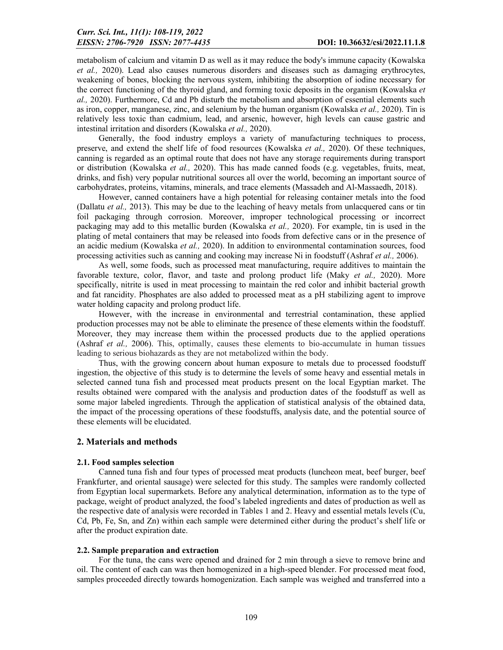metabolism of calcium and vitamin D as well as it may reduce the body's immune capacity (Kowalska *et al.,* 2020). Lead also causes numerous disorders and diseases such as damaging erythrocytes, weakening of bones, blocking the nervous system, inhibiting the absorption of iodine necessary for the correct functioning of the thyroid gland, and forming toxic deposits in the organism (Kowalska *et al.,* 2020). Furthermore, Cd and Pb disturb the metabolism and absorption of essential elements such as iron, copper, manganese, zinc, and selenium by the human organism (Kowalska *et al.,* 2020). Tin is relatively less toxic than cadmium, lead, and arsenic, however, high levels can cause gastric and intestinal irritation and disorders (Kowalska *et al.,* 2020).

Generally, the food industry employs a variety of manufacturing techniques to process, preserve, and extend the shelf life of food resources (Kowalska *et al.,* 2020). Of these techniques, canning is regarded as an optimal route that does not have any storage requirements during transport or distribution (Kowalska *et al.,* 2020). This has made canned foods (e.g. vegetables, fruits, meat, drinks, and fish) very popular nutritional sources all over the world, becoming an important source of carbohydrates, proteins, vitamins, minerals, and trace elements (Massadeh and Al-Massaedh, 2018).

However, canned containers have a high potential for releasing container metals into the food (Dallatu *et al.,* 2013). This may be due to the leaching of heavy metals from unlacquered cans or tin foil packaging through corrosion. Moreover, improper technological processing or incorrect packaging may add to this metallic burden (Kowalska *et al.,* 2020). For example, tin is used in the plating of metal containers that may be released into foods from defective cans or in the presence of an acidic medium (Kowalska *et al.,* 2020). In addition to environmental contamination sources, food processing activities such as canning and cooking may increase Ni in foodstuff (Ashraf *et al.,* 2006).

As well, some foods, such as processed meat manufacturing, require additives to maintain the favorable texture, color, flavor, and taste and prolong product life (Maky *et al.,* 2020). More specifically, nitrite is used in meat processing to maintain the red color and inhibit bacterial growth and fat rancidity. Phosphates are also added to processed meat as a pH stabilizing agent to improve water holding capacity and prolong product life.

However, with the increase in environmental and terrestrial contamination, these applied production processes may not be able to eliminate the presence of these elements within the foodstuff. Moreover, they may increase them within the processed products due to the applied operations (Ashraf *et al.,* 2006). This, optimally, causes these elements to bio-accumulate in human tissues leading to serious biohazards as they are not metabolized within the body.

Thus, with the growing concern about human exposure to metals due to processed foodstuff ingestion, the objective of this study is to determine the levels of some heavy and essential metals in selected canned tuna fish and processed meat products present on the local Egyptian market. The results obtained were compared with the analysis and production dates of the foodstuff as well as some major labeled ingredients. Through the application of statistical analysis of the obtained data, the impact of the processing operations of these foodstuffs, analysis date, and the potential source of these elements will be elucidated.

### 2. Materials and methods

#### 2.1. Food samples selection

Canned tuna fish and four types of processed meat products (luncheon meat, beef burger, beef Frankfurter, and oriental sausage) were selected for this study. The samples were randomly collected from Egyptian local supermarkets. Before any analytical determination, information as to the type of package, weight of product analyzed, the food's labeled ingredients and dates of production as well as the respective date of analysis were recorded in Tables 1 and 2. Heavy and essential metals levels (Cu, Cd, Pb, Fe, Sn, and Zn) within each sample were determined either during the product's shelf life or after the product expiration date.

#### 2.2. Sample preparation and extraction

For the tuna, the cans were opened and drained for 2 min through a sieve to remove brine and oil. The content of each can was then homogenized in a high-speed blender. For processed meat food, samples proceeded directly towards homogenization. Each sample was weighed and transferred into a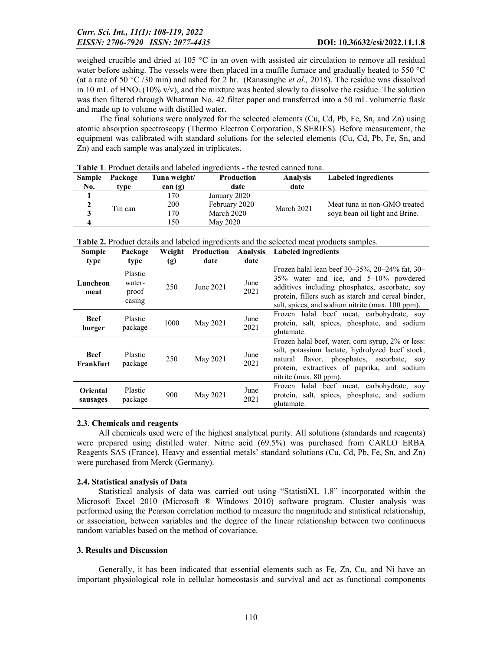weighed crucible and dried at 105 °C in an oven with assisted air circulation to remove all residual water before ashing. The vessels were then placed in a muffle furnace and gradually heated to 550 °C (at a rate of 50 °C /30 min) and ashed for 2 hr. (Ranasinghe *et al.,* 2018). The residue was dissolved in 10 mL of  $HNO<sub>3</sub>$  (10% v/v), and the mixture was heated slowly to dissolve the residue. The solution was then filtered through Whatman No. 42 filter paper and transferred into a 50 mL volumetric flask and made up to volume with distilled water.

The final solutions were analyzed for the selected elements (Cu, Cd, Pb, Fe, Sn, and Zn) using atomic absorption spectroscopy (Thermo Electron Corporation, S SERIES). Before measurement, the equipment was calibrated with standard solutions for the selected elements (Cu, Cd, Pb, Fe, Sn, and Zn) and each sample was analyzed in triplicates.

| <b>Sample</b><br>No. | Package<br>type | Tuna weight/<br>can(g) | <b>Production</b><br>date | <b>Analysis</b><br>date | Labeled ingredients            |
|----------------------|-----------------|------------------------|---------------------------|-------------------------|--------------------------------|
|                      |                 | 170                    | January 2020              |                         |                                |
| 2                    | Tin can         | 200                    | February 2020             | March 2021              | Meat tuna in non-GMO treated   |
|                      |                 | 170                    | March 2020                |                         | sova bean oil light and Brine. |
|                      |                 | 50ء                    | May 2020                  |                         |                                |

Table 1. Product details and labeled ingredients - the tested canned tuna.

| <b>Sample</b>            | Package                              | Weight | Production | <b>Analysis</b> | <b>Labeled ingredients</b>                                                                                                                                                                                                                          |
|--------------------------|--------------------------------------|--------|------------|-----------------|-----------------------------------------------------------------------------------------------------------------------------------------------------------------------------------------------------------------------------------------------------|
| type                     | type                                 | (g)    | date       | date            |                                                                                                                                                                                                                                                     |
| Luncheon<br>meat         | Plastic<br>water-<br>proof<br>casing | 250    | June 2021  | June<br>2021    | Frozen halal lean beef 30–35%, 20–24% fat, 30–<br>35% water and ice, and 5–10% powdered<br>additives including phosphates, ascorbate, soy<br>protein, fillers such as starch and cereal binder,<br>salt, spices, and sodium nitrite (max. 100 ppm). |
| <b>Beef</b><br>burger    | <b>Plastic</b><br>package            | 1000   | May 2021   | June<br>2021    | Frozen halal beef meat, carbohydrate, soy<br>protein, salt, spices, phosphate, and sodium<br>glutamate.                                                                                                                                             |
| <b>Beef</b><br>Frankfurt | Plastic<br>package                   | 250    | May 2021   | June<br>2021    | Frozen halal beef, water, corn syrup, 2% or less:<br>salt, potassium lactate, hydrolyzed beef stock,<br>natural flavor, phosphates, ascorbate, soy<br>protein, extractives of paprika, and sodium<br>nitrite (max. 80 ppm).                         |
| Oriental<br>sausages     | Plastic<br>package                   | 900    | May 2021   | June<br>2021    | Frozen halal beef meat, carbohydrate, soy<br>protein, salt, spices, phosphate, and sodium<br>glutamate.                                                                                                                                             |

|  | March 2020     | sova pean o |
|--|----------------|-------------|
|  | $M_{222}$ 2020 |             |

Table 2. Product details and labeled ingredients and the selected meat products samples.

#### 2.3. Chemicals and reagents

All chemicals used were of the highest analytical purity. All solutions (standards and reagents) were prepared using distilled water. Nitric acid (69.5%) was purchased from CARLO ERBA Reagents SAS (France). Heavy and essential metals' standard solutions (Cu, Cd, Pb, Fe, Sn, and Zn) were purchased from Merck (Germany).

#### 2.4. Statistical analysis of Data

Statistical analysis of data was carried out using "StatistiXL 1.8" incorporated within the Microsoft Excel 2010 (Microsoft ® Windows 2010) software program. Cluster analysis was performed using the Pearson correlation method to measure the magnitude and statistical relationship, or association, between variables and the degree of the linear relationship between two continuous random variables based on the method of covariance.

#### 3. Results and Discussion

Generally, it has been indicated that essential elements such as Fe, Zn, Cu, and Ni have an important physiological role in cellular homeostasis and survival and act as functional components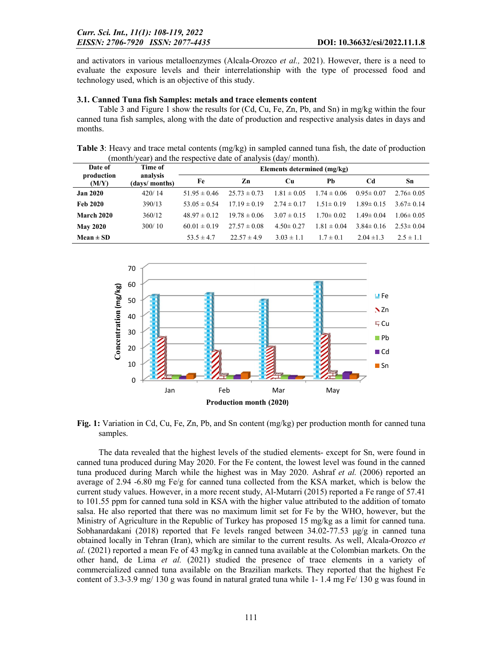and activators in various metalloenzymes (Alcala-Orozco *et al.,* 2021). However, there is a need to evaluate the exposure levels and their interrelationship with the type of processed food and technology used, which is an objective of this study.

### 3.1. Canned Tuna fish Samples: metals and trace elements content

Table 3 and Figure 1 show the results for (Cd, Cu, Fe, Zn, Pb, and Sn) in mg/kg within the four canned tuna fish samples, along with the date of production and respective analysis dates in days and months.

Table 3: Heavy and trace metal contents (mg/kg) in sampled canned tuna fish, the date of production (month/year) and the respective date of analysis (day/ month).

| Date of             | Time of                   | Elements determined (mg/kg) |                  |                 |                 |                 |                 |  |  |
|---------------------|---------------------------|-----------------------------|------------------|-----------------|-----------------|-----------------|-----------------|--|--|
| production<br>(M/Y) | analysis<br>(days/months) | Fe                          | Zn               | Cп              | Ph              | Cd              | Sn              |  |  |
| <b>Jan 2020</b>     | 420/14                    | $51.95 \pm 0.46$            | $25.73 \pm 0.73$ | $1.81 \pm 0.05$ | $1.74 \pm 0.06$ | $0.95 \pm 0.07$ | $2.76 \pm 0.05$ |  |  |
| <b>Feb 2020</b>     | 390/13                    | 53.05 $\pm$ 0.54            | $1719 \pm 0.19$  | $2.74 \pm 0.17$ | $1.51 \pm 0.19$ | $1.89 \pm 0.15$ | $3.67 \pm 0.14$ |  |  |
| <b>March 2020</b>   | 360/12                    | $48.97 \pm 0.12$            | $19.78 \pm 0.06$ | $3.07 \pm 0.15$ | $1.70 \pm 0.02$ | $1.49 \pm 0.04$ | $1.06 \pm 0.05$ |  |  |
| <b>May 2020</b>     | 300/10                    | $60.01 \pm 0.19$            | $27.57 \pm 0.08$ | $4.50 \pm 0.27$ | $1.81 \pm 0.04$ | $3.84 \pm 0.16$ | $2.53 \pm 0.04$ |  |  |
| Mean $\pm$ SD       |                           | 53.5 $\pm$ 4.7              | $22.57 \pm 4.9$  | $3.03 \pm 1.1$  | $1.7 \pm 0.1$   | $2.04 \pm 1.3$  | $2.5 \pm 1.1$   |  |  |



Fig. 1: Variation in Cd, Cu, Fe, Zn, Pb, and Sn content (mg/kg) per production month for canned tuna samples.

The data revealed that the highest levels of the studied elements- except for Sn, were found in canned tuna produced during May 2020. For the Fe content, the lowest level was found in the canned tuna produced during March while the highest was in May 2020. Ashraf *et al.* (2006) reported an average of 2.94 -6.80 mg Fe/g for canned tuna collected from the KSA market, which is below the current study values. However, in a more recent study, Al-Mutarri (2015) reported a Fe range of 57.41 to 101.55 ppm for canned tuna sold in KSA with the higher value attributed to the addition of tomato salsa. He also reported that there was no maximum limit set for Fe by the WHO, however, but the Ministry of Agriculture in the Republic of Turkey has proposed 15 mg/kg as a limit for canned tuna. Sobhanardakani (2018) reported that Fe levels ranged between  $34.02$ -77.53  $\mu$ g/g in canned tuna obtained locally in Tehran (Iran), which are similar to the current results. As well, Alcala-Orozco *et al.* (2021) reported a mean Fe of 43 mg/kg in canned tuna available at the Colombian markets. On the other hand, de Lima *et al.* (2021) studied the presence of trace elements in a variety of commercialized canned tuna available on the Brazilian markets. They reported that the highest Fe content of 3.3-3.9 mg/ 130 g was found in natural grated tuna while 1- 1.4 mg Fe/ 130 g was found in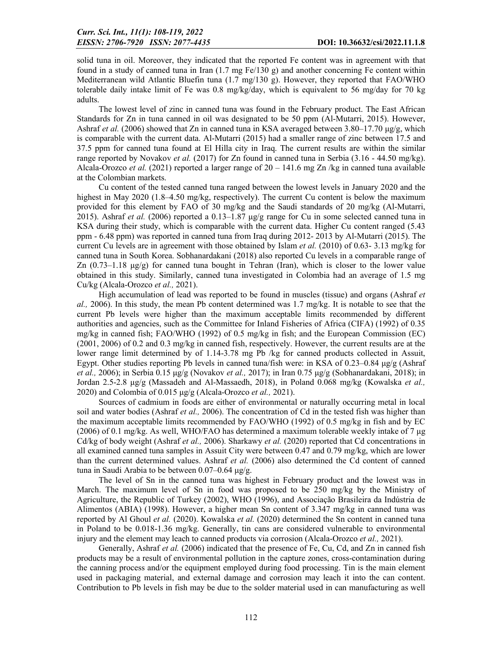solid tuna in oil. Moreover, they indicated that the reported Fe content was in agreement with that found in a study of canned tuna in Iran  $(1.7 \text{ mg Fe}/130 \text{ g})$  and another concerning Fe content within Mediterranean wild Atlantic Bluefin tuna (1.7 mg/130 g). However, they reported that FAO/WHO tolerable daily intake limit of Fe was 0.8 mg/kg/day, which is equivalent to 56 mg/day for 70 kg adults.

The lowest level of zinc in canned tuna was found in the February product. The East African Standards for Zn in tuna canned in oil was designated to be 50 ppm (Al-Mutarri, 2015). However, Ashraf *et al.* (2006) showed that Zn in canned tuna in KSA averaged between 3.80–17.70 μg/g, which is comparable with the current data. Al-Mutarri (2015) had a smaller range of zinc between 17.5 and 37.5 ppm for canned tuna found at El Hilla city in Iraq. The current results are within the similar range reported by Novakov *et al.* (2017) for Zn found in canned tuna in Serbia (3.16 - 44.50 mg/kg). Alcala-Orozco *et al.* (2021) reported a larger range of 20 – 141.6 mg Zn /kg in canned tuna available at the Colombian markets.

Cu content of the tested canned tuna ranged between the lowest levels in January 2020 and the highest in May 2020 (1.8–4.50 mg/kg, respectively). The current Cu content is below the maximum provided for this element by FAO of 30 mg/kg and the Saudi standards of 20 mg/kg (Al-Mutarri, 2015). Ashraf *et al.* (2006) reported a  $0.13-1.87 \mu g/g$  range for Cu in some selected canned tuna in KSA during their study, which is comparable with the current data. Higher Cu content ranged (5.43 ppm - 6.48 ppm) was reported in canned tuna from Iraq during 2012- 2013 by Al-Mutarri (2015). The current Cu levels are in agreement with those obtained by Islam *et al.* (2010) of 0.63- 3.13 mg/kg for canned tuna in South Korea. Sobhanardakani (2018) also reported Cu levels in a comparable range of Zn (0.73–1.18 μg/g) for canned tuna bought in Tehran (Iran), which is closer to the lower value obtained in this study. Similarly, canned tuna investigated in Colombia had an average of 1.5 mg Cu/kg (Alcala-Orozco *et al.,* 2021).

High accumulation of lead was reported to be found in muscles (tissue) and organs (Ashraf *et al.,* 2006). In this study, the mean Pb content determined was 1.7 mg/kg. It is notable to see that the current Pb levels were higher than the maximum acceptable limits recommended by different authorities and agencies, such as the Committee for Inland Fisheries of Africa (CIFA) (1992) of 0.35 mg/kg in canned fish; FAO/WHO (1992) of 0.5 mg/kg in fish; and the European Commission (EC) (2001, 2006) of 0.2 and 0.3 mg/kg in canned fish, respectively. However, the current results are at the lower range limit determined by of 1.14-3.78 mg Pb /kg for canned products collected in Assuit, Egypt. Other studies reporting Pb levels in canned tuna/fish were: in KSA of 0.23–0.84 μg/g (Ashraf *et al.,* 2006); in Serbia 0.15 μg/g (Novakov *et al.,* 2017); in Iran 0.75 μg/g (Sobhanardakani, 2018); in Jordan 2.5-2.8 μg/g (Massadeh and Al-Massaedh, 2018), in Poland 0.068 mg/kg (Kowalska *et al.,*  2020) and Colombia of 0.015 μg/g (Alcala-Orozco *et al.,* 2021).

Sources of cadmium in foods are either of environmental or naturally occurring metal in local soil and water bodies (Ashraf *et al.,* 2006). The concentration of Cd in the tested fish was higher than the maximum acceptable limits recommended by FAO/WHO (1992) of 0.5 mg/kg in fish and by EC (2006) of 0.1 mg/kg. As well, WHO/FAO has determined a maximum tolerable weekly intake of 7 μg Cd/kg of body weight (Ashraf *et al.,* 2006). Sharkawy *et al.* (2020) reported that Cd concentrations in all examined canned tuna samples in Assuit City were between 0.47 and 0.79 mg/kg, which are lower than the current determined values. Ashraf *et al.* (2006) also determined the Cd content of canned tuna in Saudi Arabia to be between  $0.07-0.64$  μg/g.

The level of Sn in the canned tuna was highest in February product and the lowest was in March. The maximum level of Sn in food was proposed to be 250 mg/kg by the Ministry of Agriculture, the Republic of Turkey (2002), WHO (1996), and Associação Brasileira da Indústria de Alimentos (ABIA) (1998). However, a higher mean Sn content of 3.347 mg/kg in canned tuna was reported by Al Ghoul *et al.* (2020). Kowalska *et al.* (2020) determined the Sn content in canned tuna in Poland to be 0.018-1.36 mg/kg. Generally, tin cans are considered vulnerable to environmental injury and the element may leach to canned products via corrosion (Alcala-Orozco *et al.,* 2021).

Generally, Ashraf *et al.* (2006) indicated that the presence of Fe, Cu, Cd, and Zn in canned fish products may be a result of environmental pollution in the capture zones, cross-contamination during the canning process and/or the equipment employed during food processing. Tin is the main element used in packaging material, and external damage and corrosion may leach it into the can content. Contribution to Pb levels in fish may be due to the solder material used in can manufacturing as well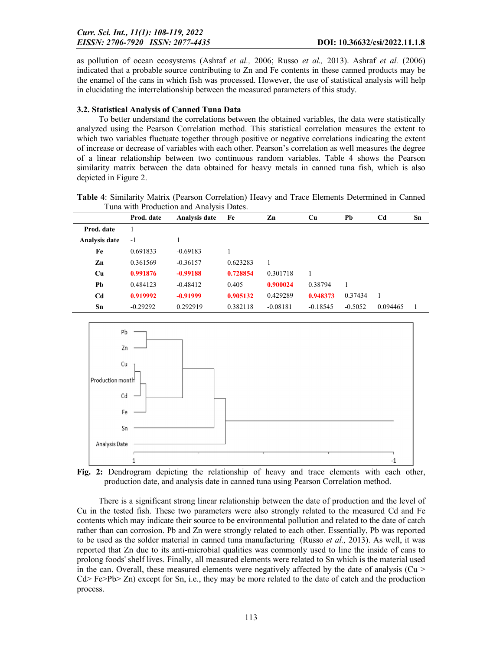as pollution of ocean ecosystems (Ashraf *et al.,* 2006; Russo *et al.,* 2013). Ashraf *et al.* (2006) indicated that a probable source contributing to Zn and Fe contents in these canned products may be the enamel of the cans in which fish was processed. However, the use of statistical analysis will help in elucidating the interrelationship between the measured parameters of this study.

## 3.2. Statistical Analysis of Canned Tuna Data

To better understand the correlations between the obtained variables, the data were statistically analyzed using the Pearson Correlation method. This statistical correlation measures the extent to which two variables fluctuate together through positive or negative correlations indicating the extent of increase or decrease of variables with each other. Pearson's correlation as well measures the degree of a linear relationship between two continuous random variables. Table 4 shows the Pearson similarity matrix between the data obtained for heavy metals in canned tuna fish, which is also depicted in Figure 2.

| Table 4: Similarity Matrix (Pearson Correlation) Heavy and Trace Elements Determined in Canned |  |  |  |
|------------------------------------------------------------------------------------------------|--|--|--|
| Tuna with Production and Analysis Dates.                                                       |  |  |  |

|                | Prod. date | Analysis date | Fe       | Zn         | Cu         | Pb        | C <sub>d</sub> | Sn |
|----------------|------------|---------------|----------|------------|------------|-----------|----------------|----|
| Prod. date     | 1          |               |          |            |            |           |                |    |
| Analysis date  | $-1$       |               |          |            |            |           |                |    |
| Fe             | 0.691833   | $-0.69183$    |          |            |            |           |                |    |
| Zn             | 0.361569   | $-0.36157$    | 0.623283 |            |            |           |                |    |
| Cu             | 0.991876   | $-0.99188$    | 0.728854 | 0.301718   |            |           |                |    |
| Pb             | 0.484123   | $-0.48412$    | 0.405    | 0.900024   | 0.38794    |           |                |    |
| C <sub>d</sub> | 0.919992   | $-0.91999$    | 0.905132 | 0.429289   | 0.948373   | 0.37434   | $\overline{1}$ |    |
| Sn             | $-0.29292$ | 0.292919      | 0.382118 | $-0.08181$ | $-0.18545$ | $-0.5052$ | 0.094465       |    |





There is a significant strong linear relationship between the date of production and the level of Cu in the tested fish. These two parameters were also strongly related to the measured Cd and Fe contents which may indicate their source to be environmental pollution and related to the date of catch rather than can corrosion. Pb and Zn were strongly related to each other. Essentially, Pb was reported to be used as the solder material in canned tuna manufacturing (Russo *et al.,* 2013). As well, it was reported that Zn due to its anti-microbial qualities was commonly used to line the inside of cans to prolong foods' shelf lives. Finally, all measured elements were related to Sn which is the material used in the can. Overall, these measured elements were negatively affected by the date of analysis ( $Cu >$  $Cd > Fe > Pb > Zn$ ) except for Sn, i.e., they may be more related to the date of catch and the production process.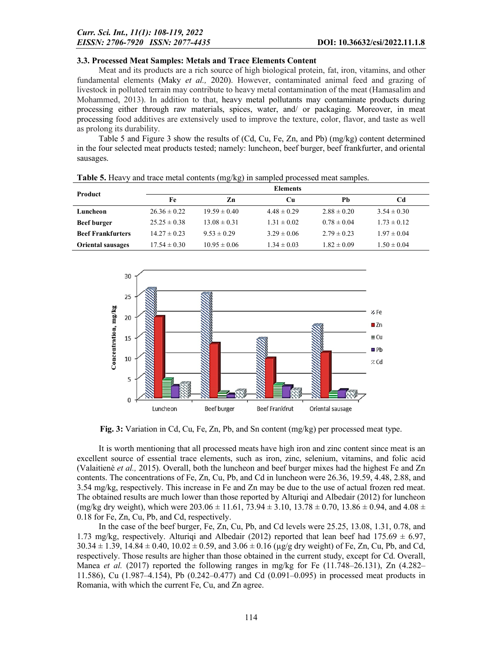### 3.3. Processed Meat Samples: Metals and Trace Elements Content

Meat and its products are a rich source of high biological protein, fat, iron, vitamins, and other fundamental elements (Maky *et al.,* 2020). However, contaminated animal feed and grazing of livestock in polluted terrain may contribute to heavy metal contamination of the meat (Hamasalim and Mohammed, 2013). In addition to that, heavy metal pollutants may contaminate products during processing either through raw materials, spices, water, and/ or packaging. Moreover, in meat processing food additives are extensively used to improve the texture, color, flavor, and taste as well as prolong its durability.

Table 5 and Figure 3 show the results of (Cd, Cu, Fe, Zn, and Pb) (mg/kg) content determined in the four selected meat products tested; namely: luncheon, beef burger, beef frankfurter, and oriental sausages.

| <b>Product</b>           |                  |                  | <b>Elements</b> |                 |                 |
|--------------------------|------------------|------------------|-----------------|-----------------|-----------------|
|                          | Fe               | Zn               | Cп              | Ph              | Cd              |
| Luncheon                 | $26.36 \pm 0.22$ | $19.59 \pm 0.40$ | $4.48 \pm 0.29$ | $2.88 \pm 0.20$ | $3.54 \pm 0.30$ |
| <b>Beef burger</b>       | $25.25 \pm 0.38$ | $13.08 \pm 0.31$ | $1.31 \pm 0.02$ | $0.78 \pm 0.04$ | $1.73 \pm 0.12$ |
| <b>Beef Frankfurters</b> | $14.27 \pm 0.23$ | $9.53 \pm 0.29$  | $3.29 \pm 0.06$ | $2.79 \pm 0.23$ | $1.97 \pm 0.04$ |
| <b>Oriental sausages</b> | $17.54 \pm 0.30$ | $10.95 \pm 0.06$ | $1.34 \pm 0.03$ | $1.82 \pm 0.09$ | $1.50 \pm 0.04$ |

Table 5. Heavy and trace metal contents (mg/kg) in sampled processed meat samples.



Fig. 3: Variation in Cd, Cu, Fe, Zn, Pb, and Sn content (mg/kg) per processed meat type.

It is worth mentioning that all processed meats have high iron and zinc content since meat is an excellent source of essential trace elements, such as iron, zinc, selenium, vitamins, and folic acid (Valaitienė *et al.,* 2015). Overall, both the luncheon and beef burger mixes had the highest Fe and Zn contents. The concentrations of Fe, Zn, Cu, Pb, and Cd in luncheon were 26.36, 19.59, 4.48, 2.88, and 3.54 mg/kg, respectively. This increase in Fe and Zn may be due to the use of actual frozen red meat. The obtained results are much lower than those reported by Alturiqi and Albedair (2012) for luncheon (mg/kg dry weight), which were  $203.06 \pm 11.61$ ,  $73.94 \pm 3.10$ ,  $13.78 \pm 0.70$ ,  $13.86 \pm 0.94$ , and  $4.08 \pm 0.09$ 0.18 for Fe, Zn, Cu, Pb, and Cd, respectively.

In the case of the beef burger, Fe, Zn, Cu, Pb, and Cd levels were 25.25, 13.08, 1.31, 0.78, and 1.73 mg/kg, respectively. Alturiqi and Albedair (2012) reported that lean beef had 175.69  $\pm$  6.97,  $30.34 \pm 1.39$ ,  $14.84 \pm 0.40$ ,  $10.02 \pm 0.59$ , and  $3.06 \pm 0.16$  (µg/g dry weight) of Fe, Zn, Cu, Pb, and Cd, respectively. Those results are higher than those obtained in the current study, except for Cd. Overall, Manea *et al.* (2017) reported the following ranges in mg/kg for Fe (11.748–26.131), Zn (4.282– 11.586), Cu (1.987–4.154), Pb (0.242–0.477) and Cd (0.091–0.095) in processed meat products in Romania, with which the current Fe, Cu, and Zn agree.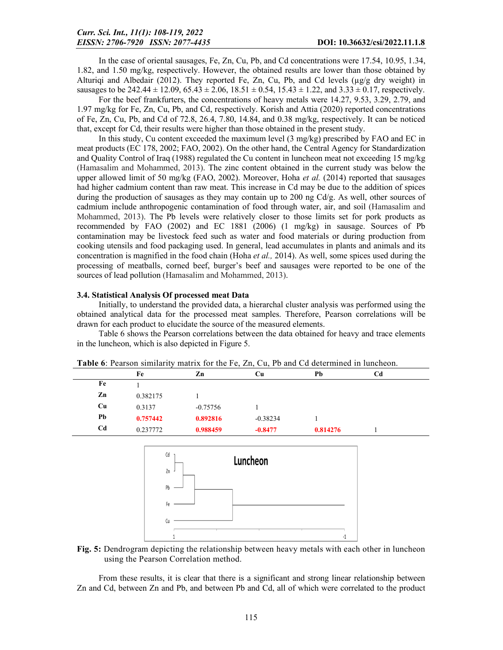In the case of oriental sausages, Fe, Zn, Cu, Pb, and Cd concentrations were 17.54, 10.95, 1.34, 1.82, and 1.50 mg/kg, respectively. However, the obtained results are lower than those obtained by Alturigi and Albedair (2012). They reported Fe, Zn, Cu, Pb, and Cd levels ( $\mu$ g/g dry weight) in sausages to be 242.44  $\pm$  12.09, 65.43  $\pm$  2.06, 18.51  $\pm$  0.54, 15.43  $\pm$  1.22, and 3.33  $\pm$  0.17, respectively.

For the beef frankfurters, the concentrations of heavy metals were 14.27, 9.53, 3.29, 2.79, and 1.97 mg/kg for Fe, Zn, Cu, Pb, and Cd, respectively. Korish and Attia (2020) reported concentrations of Fe, Zn, Cu, Pb, and Cd of 72.8, 26.4, 7.80, 14.84, and 0.38 mg/kg, respectively. It can be noticed that, except for Cd, their results were higher than those obtained in the present study.

In this study, Cu content exceeded the maximum level (3 mg/kg) prescribed by FAO and EC in meat products (EC 178, 2002; FAO, 2002). On the other hand, the Central Agency for Standardization and Quality Control of Iraq (1988) regulated the Cu content in luncheon meat not exceeding 15 mg/kg (Hamasalim and Mohammed, 2013). The zinc content obtained in the current study was below the upper allowed limit of 50 mg/kg (FAO, 2002). Moreover, Hoha *et al.* (2014) reported that sausages had higher cadmium content than raw meat. This increase in Cd may be due to the addition of spices during the production of sausages as they may contain up to 200 ng  $Cd/g$ . As well, other sources of cadmium include anthropogenic contamination of food through water, air, and soil (Hamasalim and Mohammed, 2013). The Pb levels were relatively closer to those limits set for pork products as recommended by FAO (2002) and EC 1881 (2006) (1 mg/kg) in sausage. Sources of Pb contamination may be livestock feed such as water and food materials or during production from cooking utensils and food packaging used. In general, lead accumulates in plants and animals and its concentration is magnified in the food chain (Hoha *et al.,* 2014). As well, some spices used during the processing of meatballs, corned beef, burger's beef and sausages were reported to be one of the sources of lead pollution (Hamasalim and Mohammed, 2013).

#### 3.4. Statistical Analysis Of processed meat Data

Initially, to understand the provided data, a hierarchal cluster analysis was performed using the obtained analytical data for the processed meat samples. Therefore, Pearson correlations will be drawn for each product to elucidate the source of the measured elements.

Table 6 shows the Pearson correlations between the data obtained for heavy and trace elements in the luncheon, which is also depicted in Figure 5.

| Tuble 0. I callott billimatic<br>$\frac{1}{2}$ and $\frac{1}{2}$ and $\frac{1}{2}$ and $\frac{1}{2}$ and $\frac{1}{2}$ are determined in random, |          |            |            |          |    |
|--------------------------------------------------------------------------------------------------------------------------------------------------|----------|------------|------------|----------|----|
|                                                                                                                                                  | Fe       | Zn         | Cu         | Pb       | Cd |
| Fe                                                                                                                                               |          |            |            |          |    |
| Zn                                                                                                                                               | 0.382175 |            |            |          |    |
| Cu                                                                                                                                               | 0.3137   | $-0.75756$ |            |          |    |
| Pb                                                                                                                                               | 0.757442 | 0.892816   | $-0.38234$ |          |    |
| Cd                                                                                                                                               | 0.237772 | 0.988459   | $-0.8477$  | 0.814276 |    |
|                                                                                                                                                  |          |            |            |          |    |

Table 6: Pearson similarity matrix for the Fe, Zn, Cu, Pb and Cd determined in luncheon.



Fig. 5: Dendrogram depicting the relationship between heavy metals with each other in luncheon using the Pearson Correlation method.

From these results, it is clear that there is a significant and strong linear relationship between Zn and Cd, between Zn and Pb, and between Pb and Cd, all of which were correlated to the product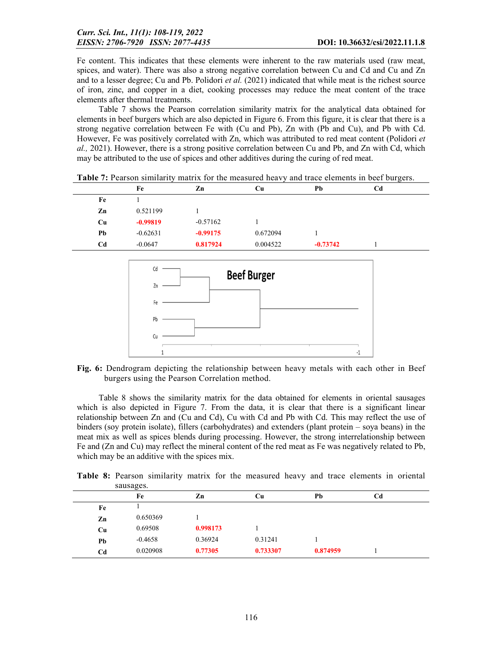Fe content. This indicates that these elements were inherent to the raw materials used (raw meat, spices, and water). There was also a strong negative correlation between Cu and Cd and Cu and Zn and to a lesser degree; Cu and Pb. Polidori *et al.* (2021) indicated that while meat is the richest source of iron, zinc, and copper in a diet, cooking processes may reduce the meat content of the trace elements after thermal treatments.

Table 7 shows the Pearson correlation similarity matrix for the analytical data obtained for elements in beef burgers which are also depicted in Figure 6. From this figure, it is clear that there is a strong negative correlation between Fe with (Cu and Pb), Zn with (Pb and Cu), and Pb with Cd. However, Fe was positively correlated with Zn, which was attributed to red meat content (Polidori *et al.,* 2021). However, there is a strong positive correlation between Cu and Pb, and Zn with Cd, which may be attributed to the use of spices and other additives during the curing of red meat.

|    | Fe         | Zn         | Cu       | Pb         | Cd |  |
|----|------------|------------|----------|------------|----|--|
| Fe |            |            |          |            |    |  |
| Zn | 0.521199   |            |          |            |    |  |
| Cu | $-0.99819$ | $-0.57162$ |          |            |    |  |
| Pb | $-0.62631$ | $-0.99175$ | 0.672094 |            |    |  |
| Cd | $-0.0647$  | 0.817924   | 0.004522 | $-0.73742$ |    |  |

Table 7: Pearson similarity matrix for the measured heavy and trace elements in beef burgers.



Fig. 6: Dendrogram depicting the relationship between heavy metals with each other in Beef burgers using the Pearson Correlation method.

Table 8 shows the similarity matrix for the data obtained for elements in oriental sausages which is also depicted in Figure 7. From the data, it is clear that there is a significant linear relationship between Zn and (Cu and Cd), Cu with Cd and Pb with Cd. This may reflect the use of binders (soy protein isolate), fillers (carbohydrates) and extenders (plant protein – soya beans) in the meat mix as well as spices blends during processing. However, the strong interrelationship between Fe and (Zn and Cu) may reflect the mineral content of the red meat as Fe was negatively related to Pb, which may be an additive with the spices mix.

|    | sausages. |          |          |          |    |  |
|----|-----------|----------|----------|----------|----|--|
|    | Fe        | Zn       | Cu       | Pb       | Cd |  |
| Fe |           |          |          |          |    |  |
| Zn | 0.650369  |          |          |          |    |  |
| Cu | 0.69508   | 0.998173 |          |          |    |  |
| Pb | $-0.4658$ | 0.36924  | 0.31241  |          |    |  |
| Cd | 0.020908  | 0.77305  | 0.733307 | 0.874959 |    |  |

Table 8: Pearson similarity matrix for the measured heavy and trace elements in oriental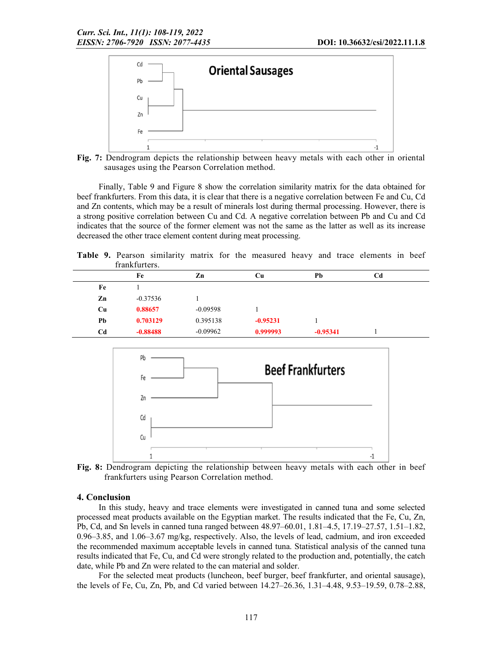

Fig. 7: Dendrogram depicts the relationship between heavy metals with each other in oriental sausages using the Pearson Correlation method.

Finally, Table 9 and Figure 8 show the correlation similarity matrix for the data obtained for beef frankfurters. From this data, it is clear that there is a negative correlation between Fe and Cu, Cd and Zn contents, which may be a result of minerals lost during thermal processing. However, there is a strong positive correlation between Cu and Cd. A negative correlation between Pb and Cu and Cd indicates that the source of the former element was not the same as the latter as well as its increase decreased the other trace element content during meat processing.

Table 9. Pearson similarity matrix for the measured heavy and trace elements in beef frankfurters.

| 11 ann 1 an USA 3. |            |            |            |                |  |
|--------------------|------------|------------|------------|----------------|--|
| Fe                 | Zn         | Cu         | Pb         | C <sub>d</sub> |  |
|                    |            |            |            |                |  |
| $-0.37536$         |            |            |            |                |  |
| 0.88657            | $-0.09598$ |            |            |                |  |
| 0.703129           | 0.395138   | $-0.95231$ |            |                |  |
| $-0.88488$         | $-0.09962$ | 0.999993   | $-0.95341$ |                |  |
|                    |            |            |            |                |  |



Fig. 8: Dendrogram depicting the relationship between heavy metals with each other in beef frankfurters using Pearson Correlation method.

#### 4. Conclusion

In this study, heavy and trace elements were investigated in canned tuna and some selected processed meat products available on the Egyptian market. The results indicated that the Fe, Cu, Zn, Pb, Cd, and Sn levels in canned tuna ranged between 48.97–60.01, 1.81–4.5, 17.19–27.57, 1.51–1.82, 0.96–3.85, and 1.06–3.67 mg/kg, respectively. Also, the levels of lead, cadmium, and iron exceeded the recommended maximum acceptable levels in canned tuna. Statistical analysis of the canned tuna results indicated that Fe, Cu, and Cd were strongly related to the production and, potentially, the catch date, while Pb and Zn were related to the can material and solder.

For the selected meat products (luncheon, beef burger, beef frankfurter, and oriental sausage), the levels of Fe, Cu, Zn, Pb, and Cd varied between 14.27–26.36, 1.31–4.48, 9.53–19.59, 0.78–2.88,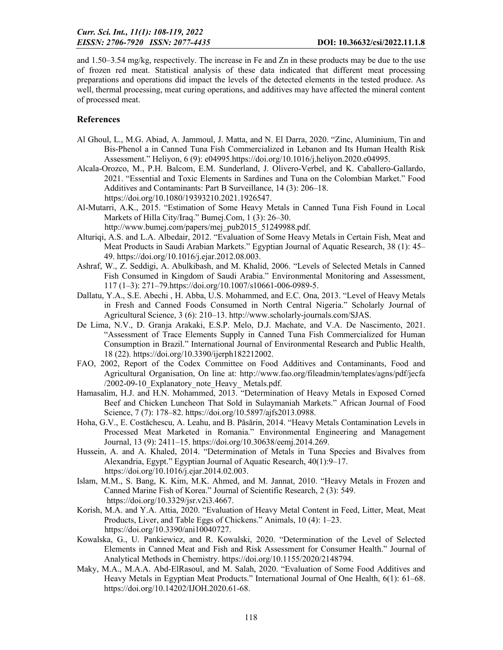and 1.50–3.54 mg/kg, respectively. The increase in Fe and Zn in these products may be due to the use of frozen red meat. Statistical analysis of these data indicated that different meat processing preparations and operations did impact the levels of the detected elements in the tested produce. As well, thermal processing, meat curing operations, and additives may have affected the mineral content of processed meat.

### **References**

- Al Ghoul, L., M.G. Abiad, A. Jammoul, J. Matta, and N. El Darra, 2020. "Zinc, Aluminium, Tin and Bis-Phenol a in Canned Tuna Fish Commercialized in Lebanon and Its Human Health Risk Assessment." Heliyon, 6 (9): e04995.https://doi.org/10.1016/j.heliyon.2020.e04995.
- Alcala-Orozco, M., P.H. Balcom, E.M. Sunderland, J. Olivero-Verbel, and K. Caballero-Gallardo, 2021. "Essential and Toxic Elements in Sardines and Tuna on the Colombian Market." Food Additives and Contaminants: Part B Surveillance, 14 (3): 206–18. https://doi.org/10.1080/19393210.2021.1926547.
- Al-Mutarri, A.K., 2015. "Estimation of Some Heavy Metals in Canned Tuna Fish Found in Local Markets of Hilla City/Iraq." Bumej.Com, 1 (3): 26–30.
	- http://www.bumej.com/papers/mej\_pub2015\_51249988.pdf.
- Alturiqi, A.S. and L.A. Albedair, 2012. "Evaluation of Some Heavy Metals in Certain Fish, Meat and Meat Products in Saudi Arabian Markets." Egyptian Journal of Aquatic Research, 38 (1): 45– 49. https://doi.org/10.1016/j.ejar.2012.08.003.
- Ashraf, W., Z. Seddigi, A. Abulkibash, and M. Khalid, 2006. "Levels of Selected Metals in Canned Fish Consumed in Kingdom of Saudi Arabia." Environmental Monitoring and Assessment, 117 (1–3): 271–79.https://doi.org/10.1007/s10661-006-0989-5.
- Dallatu, Y.A., S.E. Abechi , H. Abba, U.S. Mohammed, and E.C. Ona, 2013. "Level of Heavy Metals in Fresh and Canned Foods Consumed in North Central Nigeria." Scholarly Journal of Agricultural Science, 3 (6): 210–13. http://www.scholarly-journals.com/SJAS.
- De Lima, N.V., D. Granja Arakaki, E.S.P. Melo, D.J. Machate, and V.A. De Nascimento, 2021. "Assessment of Trace Elements Supply in Canned Tuna Fish Commercialized for Human Consumption in Brazil." International Journal of Environmental Research and Public Health, 18 (22). https://doi.org/10.3390/ijerph182212002.
- FAO, 2002, Report of the Codex Committee on Food Additives and Contaminants, Food and Agricultural Organisation, On line at: http://www.fao.org/fileadmin/templates/agns/pdf/jecfa /2002-09-10 Explanatory note Heavy Metals.pdf.
- Hamasalim, H.J. and H.N. Mohammed, 2013. "Determination of Heavy Metals in Exposed Corned Beef and Chicken Luncheon That Sold in Sulaymaniah Markets." African Journal of Food Science, 7 (7): 178–82. https://doi.org/10.5897/ajfs2013.0988.
- Hoha, G.V., E. Costăchescu, A. Leahu, and B. Păsărin, 2014. "Heavy Metals Contamination Levels in Processed Meat Marketed in Romania." Environmental Engineering and Management Journal, 13 (9): 2411–15. https://doi.org/10.30638/eemj.2014.269.
- Hussein, A. and A. Khaled, 2014. "Determination of Metals in Tuna Species and Bivalves from Alexandria, Egypt." Egyptian Journal of Aquatic Research, 40(1):9–17. https://doi.org/10.1016/j.ejar.2014.02.003.
- Islam, M.M., S. Bang, K. Kim, M.K. Ahmed, and M. Jannat, 2010. "Heavy Metals in Frozen and Canned Marine Fish of Korea." Journal of Scientific Research, 2 (3): 549. https://doi.org/10.3329/jsr.v2i3.4667.
- Korish, M.A. and Y.A. Attia, 2020. "Evaluation of Heavy Metal Content in Feed, Litter, Meat, Meat Products, Liver, and Table Eggs of Chickens." Animals, 10 (4): 1–23. https://doi.org/10.3390/ani10040727.
- Kowalska, G., U. Pankiewicz, and R. Kowalski, 2020. "Determination of the Level of Selected Elements in Canned Meat and Fish and Risk Assessment for Consumer Health." Journal of Analytical Methods in Chemistry. https://doi.org/10.1155/2020/2148794.
- Maky, M.A., M.A.A. Abd-ElRasoul, and M. Salah, 2020. "Evaluation of Some Food Additives and Heavy Metals in Egyptian Meat Products." International Journal of One Health, 6(1): 61–68. https://doi.org/10.14202/IJOH.2020.61-68.